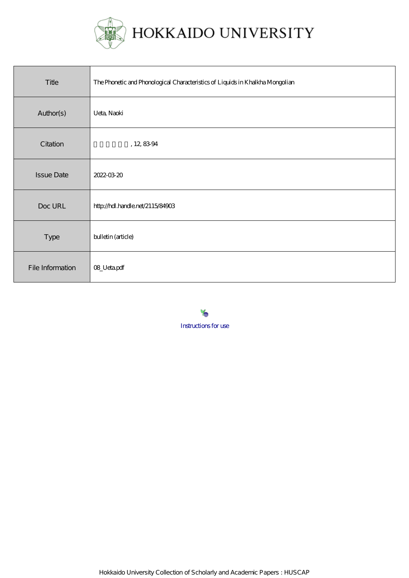

| Title             | The Phonetic and Phonological Characteristics of Liquids in Khalkha Mongolian |
|-------------------|-------------------------------------------------------------------------------|
| Author(s)         | Ueta, Naoki                                                                   |
| Citation          | , 12, 8394                                                                    |
| <b>Issue Date</b> | 2022-03-20                                                                    |
| Doc URL           | http://hdl.handle.net/2115/84903                                              |
| Type              | bulletin (article)                                                            |
| File Information  | 08_Uetapdf                                                                    |

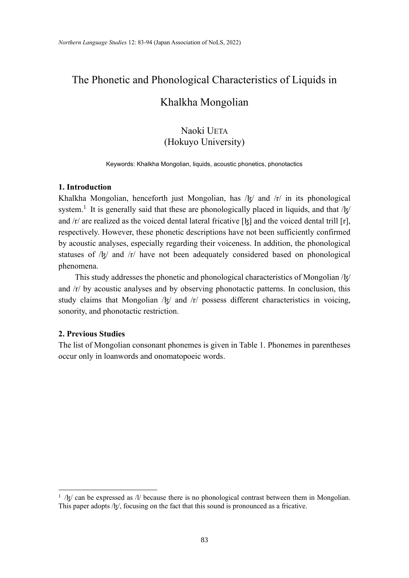# The Phonetic and Phonological Characteristics of Liquids in

## Khalkha Mongolian

### Naoki UETA (Hokuyo University)

Keywords: Khalkha Mongolian, liquids, acoustic phonetics, phonotactics

#### **1. Introduction**

Khalkha Mongolian, henceforth just Mongolian, has  $/\frac{k}{r}$  and  $/r$  in its phonological system.<sup>1</sup> It is generally said that these are phonologically placed in liquids, and that / $\frac{1}{5}$ / and  $\pi$  are realized as the voiced dental lateral fricative [k] and the voiced dental trill [r], respectively. However, these phonetic descriptions have not been sufficiently confirmed by acoustic analyses, especially regarding their voiceness. In addition, the phonological statuses of /k/ and /r/ have not been adequately considered based on phonological phenomena.

 This study addresses the phonetic and phonological characteristics of Mongolian /ɮ/ and /r/ by acoustic analyses and by observing phonotactic patterns. In conclusion, this study claims that Mongolian  $/$ k $/$  and  $/$ r $/$  possess different characteristics in voicing, sonority, and phonotactic restriction.

#### **2. Previous Studies**

The list of Mongolian consonant phonemes is given in Table 1. Phonemes in parentheses occur only in loanwords and onomatopoeic words.

 $1 / |g|$  can be expressed as  $1/$  because there is no phonological contrast between them in Mongolian. This paper adopts  $/\xi/$ , focusing on the fact that this sound is pronounced as a fricative.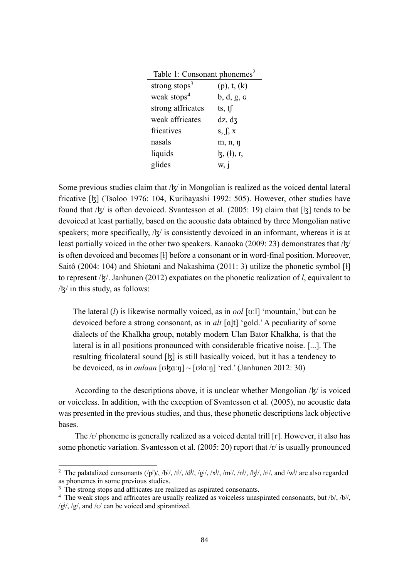Table 1: Consonant phonemes<sup>2</sup>

| strong stops <sup>3</sup> | (p), t, (k)     |
|---------------------------|-----------------|
| weak stops <sup>4</sup>   | b, d, g, g      |
| strong affricates         | ts, $tf$        |
| weak affricates           | dz, dz          |
| fricatives                | s, $\int$ , x   |
| nasals                    | m, n, n         |
| liquids                   | $\xi$ , (i), r, |
| glides                    | W, 1            |

Some previous studies claim that  $/\xi$  in Mongolian is realized as the voiced dental lateral fricative [ɮ] (Tsoloo 1976: 104, Kuribayashi 1992: 505). However, other studies have found that  $\frac{1}{K}$  is often devoiced. Svantesson et al. (2005: 19) claim that [k] tends to be devoiced at least partially, based on the acoustic data obtained by three Mongolian native speakers; more specifically,  $/\frac{k}{2}$  is consistently devoiced in an informant, whereas it is at least partially voiced in the other two speakers. Kanaoka (2009: 23) demonstrates that /k/ is often devoiced and becomes [ɬ] before a consonant or in word-final position. Moreover, Saitô (2004: 104) and Shiotani and Nakashima (2011: 3) utilize the phonetic symbol [ɬ] to represent /ɮ/. Janhunen (2012) expatiates on the phonetic realization of *l*, equivalent to /ɮ/ in this study, as follows:

The lateral (*l*) is likewise normally voiced, as in *ool* [ʊːl] 'mountain,' but can be devoiced before a strong consonant, as in *alt* [al̪t] 'gold.' A peculiarity of some dialects of the Khalkha group, notably modern Ulan Bator Khalkha, is that the lateral is in all positions pronounced with considerable fricative noise. [...]. The resulting fricolateral sound [ɮ] is still basically voiced, but it has a tendency to be devoiced, as in *oulaan* [ʊk̪ɑːŋ] ~ [ʊłɑːŋ] 'red.' (Janhunen 2012: 30)

According to the descriptions above, it is unclear whether Mongolian  $\frac{1}{k}$  is voiced or voiceless. In addition, with the exception of Svantesson et al. (2005), no acoustic data was presented in the previous studies, and thus, these phonetic descriptions lack objective bases.

 The /r/ phoneme is generally realized as a voiced dental trill [r]. However, it also has some phonetic variation. Svantesson et al. (2005: 20) report that /r/ is usually pronounced

<sup>&</sup>lt;sup>2</sup> The palatalized consonants  $(\bar{p}^j)$ ,  $\bar{b}^j$ ,  $\bar{t}^j$ ,  $\bar{d}^j$ ,  $\bar{d}^j$ ,  $\bar{g}^j$ ,  $\bar{g}^j$ ,  $\bar{m}^j$ ,  $\bar{g}^j$ ,  $\bar{g}^j$ ,  $\bar{g}^j$ ,  $\bar{g}^j$ ,  $\bar{g}^j$ ,  $\bar{g}^j$ ,  $\bar{g}^j$ ,  $\bar{g}^j$ ,  $\bar{g}^j$ ,  $\$ as phonemes in some previous studies.

<sup>&</sup>lt;sup>3</sup> The strong stops and affricates are realized as aspirated consonants.

<sup>&</sup>lt;sup>4</sup> The weak stops and affricates are usually realized as voiceless unaspirated consonants, but /b/, /b<sup>j</sup>/, /g<sup>j</sup>/, /g/, and /G/ can be voiced and spirantized.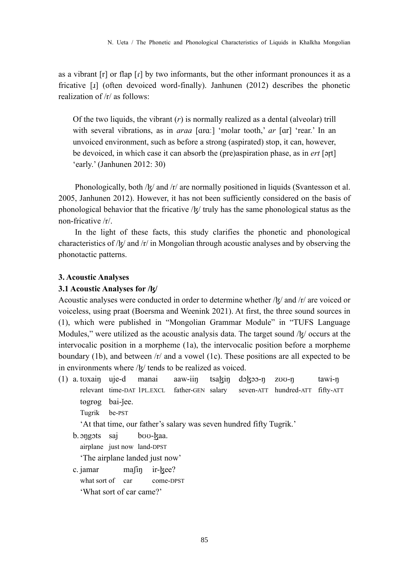as a vibrant [r] or flap [ɾ] by two informants, but the other informant pronounces it as a fricative [ɹ] (often devoiced word-finally). Janhunen (2012) describes the phonetic realization of /r/ as follows:

Of the two liquids, the vibrant (*r*) is normally realized as a dental (alveolar) trill with several vibrations, as in *araa* [ɑrɑː] 'molar tooth,' *ar* [ɑr] 'rear.' In an unvoiced environment, such as before a strong (aspirated) stop, it can, however, be devoiced, in which case it can absorb the (pre)aspiration phase, as in *ert* [ər̥t] 'early.' (Janhunen 2012: 30)

Phonologically, both  $/k$  and  $/r$  are normally positioned in liquids (Svantesson et al. 2005, Janhunen 2012). However, it has not been sufficiently considered on the basis of phonological behavior that the fricative  $\frac{1}{x}$  truly has the same phonological status as the non-fricative /r/.

 In the light of these facts, this study clarifies the phonetic and phonological characteristics of /ɮ/ and /r/ in Mongolian through acoustic analyses and by observing the phonotactic patterns.

#### **3. Acoustic Analyses**

#### **3.1 Acoustic Analyses for /ɮ/**

Acoustic analyses were conducted in order to determine whether /k/ and /r/ are voiced or voiceless, using praat (Boersma and Weenink 2021). At first, the three sound sources in (1), which were published in "Mongolian Grammar Module" in "TUFS Language Modules," were utilized as the acoustic analysis data. The target sound /k/ occurs at the intervocalic position in a morpheme (1a), the intervocalic position before a morpheme boundary (1b), and between /r/ and a vowel (1c). These positions are all expected to be in environments where /ɮ/ tends to be realized as voiced.

(1) a. tʊxaiŋ uje-d manai aaw-iiŋ tsaɮiŋ dɔɮɔɔ-ŋ zʊʊ-ŋ tawi-ŋ relevant time-DAT 1PL.EXCL father-GEN salary seven-ATT hundred-ATT fifty-ATT togrog bai-jee.

Tugrik be-PST

'At that time, our father's salary was seven hundred fifty Tugrik.'

- b. ɔŋgɔts saj bʊʊ-ɮaa.
	- airplane just now land-DPST

'The airplane landed just now'

c. jamar mafin ir-kee? what sort of car come-DPST 'What sort of car came?'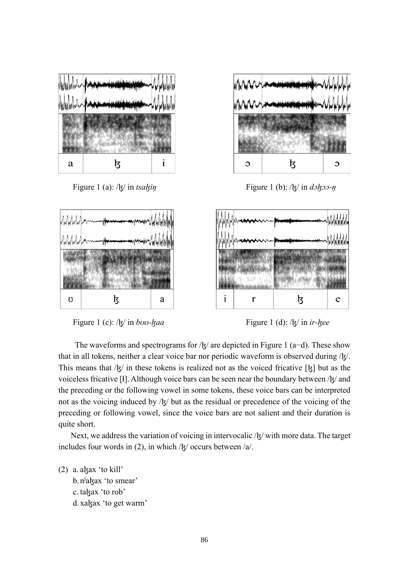



Figure 1 (a): / $\frac{1}{5}$ / in *tsa* $\frac{1}{5}$  figure 1 (b): / $\frac{1}{5}$ / in *d* $\frac{1}{5}$ *o-n* 



Figure 1 (c): /k/ in *boo-kaa* Figure 1 (d): /k/ in *ir-kee* 

The waveforms and spectrograms for /k] are depicted in Figure 1 (a–d). These show that in all tokens, neither a clear voice bar nor periodic waveform is observed during /k. This means that  $\frac{1}{5}$  in these tokens is realized not as the voiced fricative [k] but as the voiceless fricative [ɬ]. Although voice bars can be seen near the boundary between /k/ and the preceding or the following vowel in some tokens, these voice bars can be interpreted not as the voicing induced by  $/\frac{k}{\pi}$  but as the residual or precedence of the voicing of the preceding or following vowel, since the voice bars are not salient and their duration is quite short.

Next, we address the variation of voicing in intervocalic /k/ with more data. The target includes four words in (2), in which  $/$ k $/$  occurs between  $/a/$ .

(2) a. a $\frac{1}{4}$  as 'to kill' b. n<sup>j</sup>agax 'to smear' c. takax 'to rob' d. xakax 'to get warm'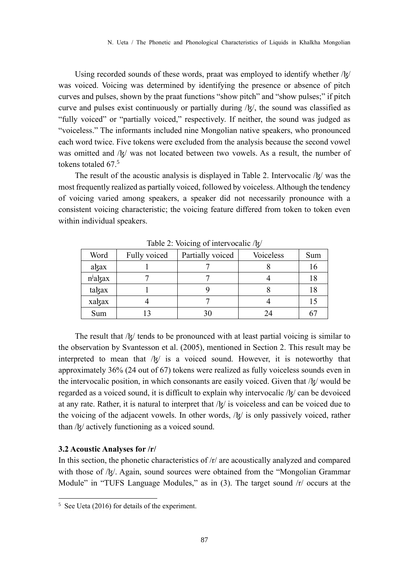Using recorded sounds of these words, praat was employed to identify whether /k] was voiced. Voicing was determined by identifying the presence or absence of pitch curves and pulses, shown by the praat functions "show pitch" and "show pulses;" if pitch curve and pulses exist continuously or partially during /ɮ/, the sound was classified as "fully voiced" or "partially voiced," respectively. If neither, the sound was judged as "voiceless." The informants included nine Mongolian native speakers, who pronounced each word twice. Five tokens were excluded from the analysis because the second vowel was omitted and /k/ was not located between two vowels. As a result, the number of tokens totaled 67.<sup>5</sup>

The result of the acoustic analysis is displayed in Table 2. Intervocalic  $\frac{1}{5}$  was the most frequently realized as partially voiced, followed by voiceless. Although the tendency of voicing varied among speakers, a speaker did not necessarily pronounce with a consistent voicing characteristic; the voicing feature differed from token to token even within individual speakers.

| Word                | Fully voiced | Partially voiced | Voiceless | Sum |
|---------------------|--------------|------------------|-----------|-----|
| akax                |              |                  |           | 16  |
| n <sup>j</sup> akax |              |                  |           | 18  |
| takax               |              |                  |           | 18  |
| xakax               |              |                  |           |     |
| Sum                 |              | 30               | 24        |     |

Table 2: Voicing of intervocalic /k/

The result that  $\frac{1}{x}$  tends to be pronounced with at least partial voicing is similar to the observation by Svantesson et al. (2005), mentioned in Section 2. This result may be interpreted to mean that /ɮ/ is a voiced sound. However, it is noteworthy that approximately 36% (24 out of 67) tokens were realized as fully voiceless sounds even in the intervocalic position, in which consonants are easily voiced. Given that  $/$  $\frac{1}{2}$  would be regarded as a voiced sound, it is difficult to explain why intervocalic /ɮ/ can be devoiced at any rate. Rather, it is natural to interpret that /ɮ/ is voiceless and can be voiced due to the voicing of the adjacent vowels. In other words,  $\frac{1}{k}$  is only passively voiced, rather than /ɮ/ actively functioning as a voiced sound.

#### **3.2 Acoustic Analyses for /r/**

In this section, the phonetic characteristics of /r/ are acoustically analyzed and compared with those of /k. Again, sound sources were obtained from the "Mongolian Grammar" Module" in "TUFS Language Modules," as in (3). The target sound  $\pi$  occurs at the

 $5$  See Ueta (2016) for details of the experiment.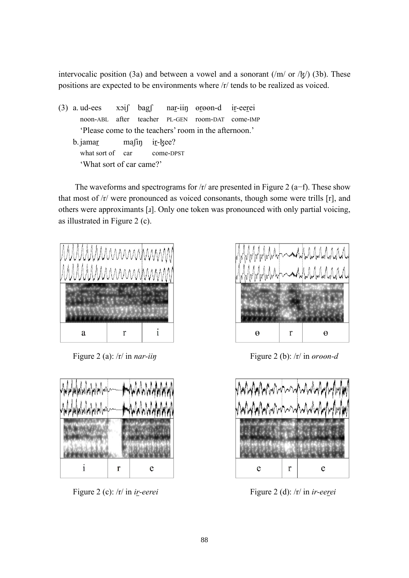intervocalic position (3a) and between a vowel and a sonorant (/m/ or / $\frac{1}{2}$ /) (3b). These positions are expected to be environments where /r/ tends to be realized as voiced.

 $(3)$  a. ud-ees  $x\circ i$  bag nar-iin  $\theta$  oreen-d ir-eerei noon-ABL after teacher PL-GEN room-DAT come-IMP 'Please come to the teachers' room in the afternoon.' b.jamar mafin ir-kee? what sort of car come-DPST 'What sort of car came?'

 The waveforms and spectrograms for /r/ are presented in Figure 2 (a−f). These show that most of /r/ were pronounced as voiced consonants, though some were trills [r], and others were approximants [ɹ]. Only one token was pronounced with only partial voicing, as illustrated in Figure 2 (c).







Figure 2 (a): /r/ in *nar-iin*<br>Figure 2 (b): /r/ in *ørøøn-d* 



Figure 2 (c): /r/ in *ir-eerei* Figure 2 (d): /r/ in *ir-eerei*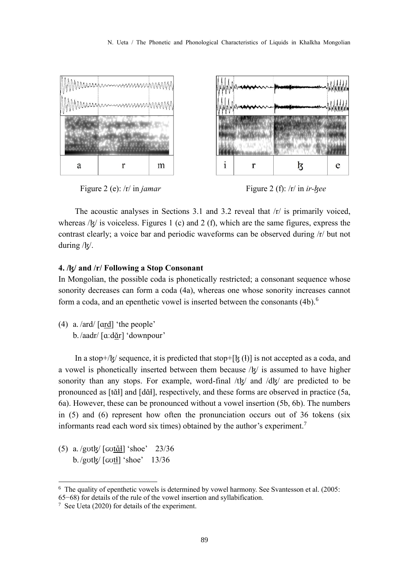

Figure 2 (e): /r/ in *jamar* Figure 2 (f): /r/ in *ir-kee* 

 The acoustic analyses in Sections 3.1 and 3.2 reveal that /r/ is primarily voiced, whereas  $/k/$  is voiceless. Figures 1 (c) and 2 (f), which are the same figures, express the contrast clearly; a voice bar and periodic waveforms can be observed during /r/ but not during /ɮ/.

#### **4. /ɮ/ and /r/ Following a Stop Consonant**

In Mongolian, the possible coda is phonetically restricted; a consonant sequence whose sonority decreases can form a coda (4a), whereas one whose sonority increases cannot form a coda, and an epenthetic vowel is inserted between the consonants  $(4b)$ .<sup>6</sup>

(4) a. /ard/ [ɑrd] 'the people' b./aadr/ [aːdɑ̌r] 'downpour'

In a stop+/ $\mathbf{k}/\mathbf{s}$  sequence, it is predicted that stop+ $\mathbf{k}$  ( $\mathbf{h}$ ) is not accepted as a coda, and a vowel is phonetically inserted between them because  $/\mathbf{k}/$  is assumed to have higher sonority than any stops. For example, word-final /tk and /dk are predicted to be pronounced as [tɑ̆ɬ] and [dɑ̆ɬ], respectively, and these forms are observed in practice (5a, 6a). However, these can be pronounced without a vowel insertion (5b, 6b). The numbers in (5) and (6) represent how often the pronunciation occurs out of 36 tokens (six informants read each word six times) obtained by the author's experiment.<sup>7</sup>

(5) a. /gʊtɮ/ [ɢʊtɑ̆ɬ] 'shoe' 23/36 b./got $\frac{1}{2}$  [cot<sup>1</sup>] 'shoe' 13/36

<sup>&</sup>lt;sup>6</sup> The quality of epenthetic vowels is determined by vowel harmony. See Svantesson et al. (2005: 65−68) for details of the rule of the vowel insertion and syllabification.

<sup>7</sup> See Ueta (2020) for details of the experiment.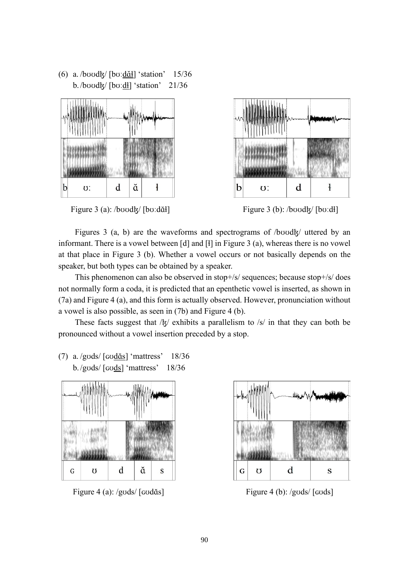(6) a. /bʊʊdɮ/ [bʊːdɑ̆ɬ] 'station' 15/36 b./bʊʊdɮ/ [bʊːdɬ] 'station' 21/36







Figures 3 (a, b) are the waveforms and spectrograms of  $/b$ vod $k/$  uttered by an informant. There is a vowel between [d] and [ɬ] in Figure 3 (a), whereas there is no vowel at that place in Figure 3 (b). Whether a vowel occurs or not basically depends on the speaker, but both types can be obtained by a speaker.

 This phenomenon can also be observed in stop+/s/ sequences; because stop+/s/ does not normally form a coda, it is predicted that an epenthetic vowel is inserted, as shown in (7a) and Figure 4 (a), and this form is actually observed. However, pronunciation without a vowel is also possible, as seen in (7b) and Figure 4 (b).

These facts suggest that  $/\frac{1}{2}$  exhibits a parallelism to  $/\frac{1}{2}$  in that they can both be pronounced without a vowel insertion preceded by a stop.

(7) a. /gʊds/ [ɢʊdɑ̆s] 'mattress' 18/36 b./gʊds/ [ɢʊds] 'mattress' 18/36



Figure 4 (a): /gʊds/ [ɕʊdɑ̌s] Figure 4 (b): /gʊds/ [ɕʊds]

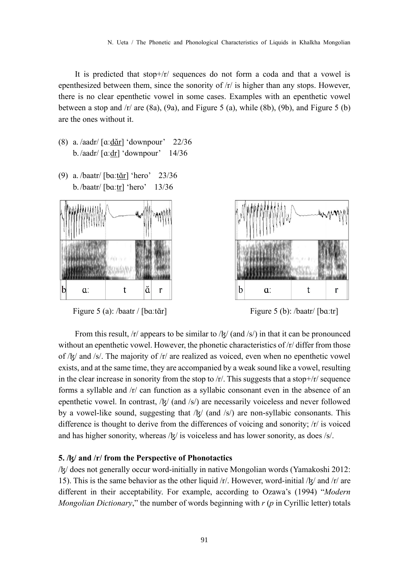It is predicted that stop+/r/ sequences do not form a coda and that a vowel is epenthesized between them, since the sonority of /r/ is higher than any stops. However, there is no clear epenthetic vowel in some cases. Examples with an epenthetic vowel between a stop and  $\pi$  are (8a), (9a), and Figure 5 (a), while (8b), (9b), and Figure 5 (b) are the ones without it.

- (8) a. /aadr/ [ɑːdɑ̆r] 'downpour' 22/36 b./aadr/ $\left[\alpha \frac{dr}{dr}\right]$  'downpour' 14/36
- (9) a. /baatr/  $\left[\frac{ba \cdot \text{tan}}{\text{tan}}\right]$  'hero' 23/36 b./baatr/  $\lceil \text{ba:}\text{tr} \rceil$  'hero' 13/36



Figure 5 (a): /baatr / [bɑːtɑ̌r] Figure 5 (b): /baatr / [bɑːtr]



From this result,  $/r/$  appears to be similar to  $\frac{1}{\sqrt{2}}$  (and  $\frac{1}{\sqrt{2}}$ ) in that it can be pronounced without an epenthetic vowel. However, the phonetic characteristics of  $/r/d$  differ from those of /ɮ/ and /s/. The majority of /r/ are realized as voiced, even when no epenthetic vowel exists, and at the same time, they are accompanied by a weak sound like a vowel, resulting in the clear increase in sonority from the stop to  $/r/$ . This suggests that a stop+ $/r/$  sequence forms a syllable and /r/ can function as a syllabic consonant even in the absence of an epenthetic vowel. In contrast,  $/\frac{k}{q}$  (and  $/\frac{s}{q}$ ) are necessarily voiceless and never followed by a vowel-like sound, suggesting that  $\frac{1}{\mathcal{R}}$  (and  $\frac{1}{\mathcal{S}}$ ) are non-syllabic consonants. This difference is thought to derive from the differences of voicing and sonority; /r/ is voiced and has higher sonority, whereas  $/$ k $/$  is voiceless and has lower sonority, as does  $/$ s $/$ .

#### **5. /ɮ/ and /r/ from the Perspective of Phonotactics**

/ɮ/ does not generally occur word-initially in native Mongolian words (Yamakoshi 2012: 15). This is the same behavior as the other liquid  $/r$ . However, word-initial  $/ξ$  and  $/r$  are different in their acceptability. For example, according to Ozawa's (1994) "*Modern Mongolian Dictionary*," the number of words beginning with *r* (*р* in Cyrillic letter) totals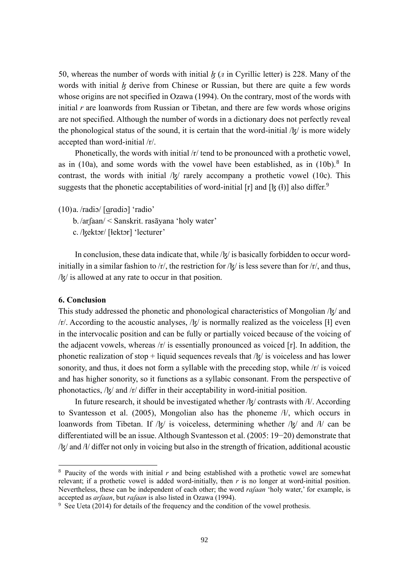50, whereas the number of words with initial  $k(n)$  in Cyrillic letter) is 228. Many of the words with initial *k* derive from Chinese or Russian, but there are quite a few words whose origins are not specified in Ozawa (1994). On the contrary, most of the words with initial *r* are loanwords from Russian or Tibetan, and there are few words whose origins are not specified. Although the number of words in a dictionary does not perfectly reveal the phonological status of the sound, it is certain that the word-initial  $\frac{1}{5}$  is more widely accepted than word-initial /r/.

Phonetically, the words with initial /r/ tend to be pronounced with a prothetic vowel, as in (10a), and some words with the vowel have been established, as in  $(10b)$ .<sup>8</sup> In contrast, the words with initial  $\frac{1}{x}$  rarely accompany a prothetic vowel (10c). This suggests that the phonetic acceptabilities of word-initial [r] and [ $\frac{1}{5}$  (f)] also differ.<sup>9</sup>

(10)a. /radiɔ/ [ɑrɑdiɔ] 'radio'

b./arʃaan/ < Sanskrit. rasāyana 'holy water'

c. /ɮektɔr/ [ɬektɔr] 'lecturer'

In conclusion, these data indicate that, while  $/\frac{1}{2}$  is basically forbidden to occur wordinitially in a similar fashion to /r/, the restriction for /k/ is less severe than for /r/, and thus, /ɮ/ is allowed at any rate to occur in that position.

#### **6. Conclusion**

This study addressed the phonetic and phonological characteristics of Mongolian /ɮ/ and  $/r$ . According to the acoustic analyses,  $/k/$  is normally realized as the voiceless [i] even in the intervocalic position and can be fully or partially voiced because of the voicing of the adjacent vowels, whereas  $\pi$  is essentially pronounced as voiced [r]. In addition, the phonetic realization of stop + liquid sequences reveals that  $\frac{1}{x}$  is voiceless and has lower sonority, and thus, it does not form a syllable with the preceding stop, while /r/ is voiced and has higher sonority, so it functions as a syllabic consonant. From the perspective of phonotactics, /ɮ/ and /r/ differ in their acceptability in word-initial position.

In future research, it should be investigated whether  $/\frac{k}{2}$  contrasts with  $/\frac{k}{2}$ . According to Svantesson et al. (2005), Mongolian also has the phoneme /ɬ/, which occurs in loanwords from Tibetan. If  $/|\xi|$  is voiceless, determining whether  $/|\xi|$  and  $/|\xi|$  can be differentiated will be an issue. Although Svantesson et al. (2005: 19−20) demonstrate that /ɮ/ and /ɬ/ differ not only in voicing but also in the strength of frication, additional acoustic

<sup>8</sup> Paucity of the words with initial *r* and being established with a prothetic vowel are somewhat relevant; if a prothetic vowel is added word-initially, then *r* is no longer at word-initial position. Nevertheless, these can be independent of each other; the word *raʃaan* 'holy water,' for example, is accepted as *arʃaan*, but *raʃaan* is also listed in Ozawa (1994).

<sup>9</sup> See Ueta (2014) for details of the frequency and the condition of the vowel prothesis.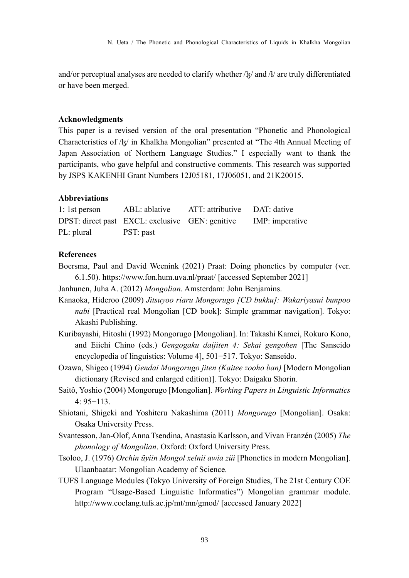and/or perceptual analyses are needed to clarify whether  $/\frac{1}{2}$  and  $/\frac{1}{2}$  are truly differentiated or have been merged.

#### **Acknowledgments**

This paper is a revised version of the oral presentation "Phonetic and Phonological Characteristics of /ɮ/ in Khalkha Mongolian" presented at "The 4th Annual Meeting of Japan Association of Northern Language Studies." I especially want to thank the participants, who gave helpful and constructive comments. This research was supported by JSPS KAKENHI Grant Numbers 12J05181, 17J06051, and 21K20015.

#### **Abbreviations**

| $1:1st$ person | ABL: ablative                                   | ATT: attributive DAT: dative |                 |
|----------------|-------------------------------------------------|------------------------------|-----------------|
|                | DPST: direct past EXCL: exclusive GEN: genitive |                              | IMP: imperative |
| PL: plural     | PST: past                                       |                              |                 |

#### **References**

Boersma, Paul and David Weenink (2021) Praat: Doing phonetics by computer (ver. 6.1.50). https://www.fon.hum.uva.nl/praat/ [accessed September 2021]

Janhunen, Juha A. (2012) *Mongolian*. Amsterdam: John Benjamins.

- Kanaoka, Hideroo (2009) *Jitsuyoo riaru Mongorugo [CD bukku]: Wakariyasui bunpoo nabi* [Practical real Mongolian [CD book]: Simple grammar navigation]. Tokyo: Akashi Publishing.
- Kuribayashi, Hitoshi (1992) Mongorugo [Mongolian]. In: Takashi Kamei, Rokuro Kono, and Eiichi Chino (eds.) *Gengogaku daijiten 4: Sekai gengohen* [The Sanseido encyclopedia of linguistics: Volume 4], 501−517. Tokyo: Sanseido.
- Ozawa, Shigeo (1994) *Gendai Mongorugo jiten (Kaitee zooho ban)* [Modern Mongolian dictionary (Revised and enlarged edition)]. Tokyo: Daigaku Shorin.
- Saitô, Yoshio (2004) Mongorugo [Mongolian]. *Working Papers in Linguistic Informatics* 4: 95−113.
- Shiotani, Shigeki and Yoshiteru Nakashima (2011) *Mongorugo* [Mongolian]. Osaka: Osaka University Press.
- Svantesson, Jan-Olof, Anna Tsendina, Anastasia Karlsson, and Vivan Franzén (2005) *The phonology of Mongolian*. Oxford: Oxford University Press.
- Tsoloo, J. (1976) *Orchin üyiin Mongol xelnii awia züi* [Phonetics in modern Mongolian]. Ulaanbaatar: Mongolian Academy of Science.
- TUFS Language Modules (Tokyo University of Foreign Studies, The 21st Century COE Program "Usage-Based Linguistic Informatics") Mongolian grammar module. http://www.coelang.tufs.ac.jp/mt/mn/gmod/ [accessed January 2022]